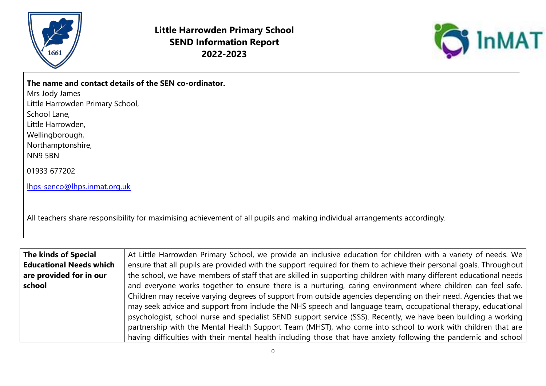

**Little Harrowden Primary School SEND Information Report 2022-2023**



|  |  |  |  | The name and contact details of the SEN co-ordinator. |  |
|--|--|--|--|-------------------------------------------------------|--|
|  |  |  |  |                                                       |  |

Mrs Jody James Little Harrowden Primary School,

School Lane,

Little Harrowden,

Wellingborough,

Northamptonshire,

NN9 5BN

01933 677202

[lhps-senco@lhps.inmat.org.uk](mailto:lhps-senco@lhps.inmat.org.uk)

All teachers share responsibility for maximising achievement of all pupils and making individual arrangements accordingly.

| The kinds of Special           | At Little Harrowden Primary School, we provide an inclusive education for children with a variety of needs. We     |
|--------------------------------|--------------------------------------------------------------------------------------------------------------------|
| <b>Educational Needs which</b> | ensure that all pupils are provided with the support required for them to achieve their personal goals. Throughout |
| are provided for in our        | the school, we have members of staff that are skilled in supporting children with many different educational needs |
| school                         | and everyone works together to ensure there is a nurturing, caring environment where children can feel safe.       |
|                                | Children may receive varying degrees of support from outside agencies depending on their need. Agencies that we    |
|                                | may seek advice and support from include the NHS speech and language team, occupational therapy, educational       |
|                                | psychologist, school nurse and specialist SEND support service (SSS). Recently, we have been building a working    |
|                                | partnership with the Mental Health Support Team (MHST), who come into school to work with children that are        |
|                                | having difficulties with their mental health including those that have anxiety following the pandemic and school   |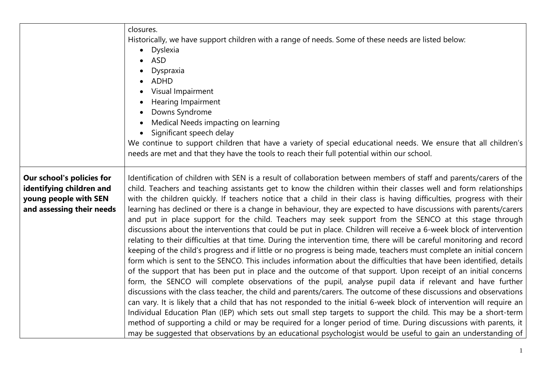|                                                                                                             | closures.<br>Historically, we have support children with a range of needs. Some of these needs are listed below:<br>Dyslexia<br>ASD<br>Dyspraxia<br>ADHD<br>Visual Impairment<br><b>Hearing Impairment</b><br>Downs Syndrome<br>Medical Needs impacting on learning<br>Significant speech delay                                                                                                                                                                                                                                                                                                                                                                                                                                                                                                                                                                                                                                                                                                                                                                                                                                                                                                                                                                                                                                                                                                                                                                                                                                                                                                                                                                                                                                                                                                                                                                                                                                              |
|-------------------------------------------------------------------------------------------------------------|----------------------------------------------------------------------------------------------------------------------------------------------------------------------------------------------------------------------------------------------------------------------------------------------------------------------------------------------------------------------------------------------------------------------------------------------------------------------------------------------------------------------------------------------------------------------------------------------------------------------------------------------------------------------------------------------------------------------------------------------------------------------------------------------------------------------------------------------------------------------------------------------------------------------------------------------------------------------------------------------------------------------------------------------------------------------------------------------------------------------------------------------------------------------------------------------------------------------------------------------------------------------------------------------------------------------------------------------------------------------------------------------------------------------------------------------------------------------------------------------------------------------------------------------------------------------------------------------------------------------------------------------------------------------------------------------------------------------------------------------------------------------------------------------------------------------------------------------------------------------------------------------------------------------------------------------|
|                                                                                                             | We continue to support children that have a variety of special educational needs. We ensure that all children's<br>needs are met and that they have the tools to reach their full potential within our school.                                                                                                                                                                                                                                                                                                                                                                                                                                                                                                                                                                                                                                                                                                                                                                                                                                                                                                                                                                                                                                                                                                                                                                                                                                                                                                                                                                                                                                                                                                                                                                                                                                                                                                                               |
| Our school's policies for<br>identifying children and<br>young people with SEN<br>and assessing their needs | Identification of children with SEN is a result of collaboration between members of staff and parents/carers of the<br>child. Teachers and teaching assistants get to know the children within their classes well and form relationships<br>with the children quickly. If teachers notice that a child in their class is having difficulties, progress with their<br>learning has declined or there is a change in behaviour, they are expected to have discussions with parents/carers<br>and put in place support for the child. Teachers may seek support from the SENCO at this stage through<br>discussions about the interventions that could be put in place. Children will receive a 6-week block of intervention<br>relating to their difficulties at that time. During the intervention time, there will be careful monitoring and record<br>keeping of the child's progress and if little or no progress is being made, teachers must complete an initial concern<br>form which is sent to the SENCO. This includes information about the difficulties that have been identified, details<br>of the support that has been put in place and the outcome of that support. Upon receipt of an initial concerns<br>form, the SENCO will complete observations of the pupil, analyse pupil data if relevant and have further<br>discussions with the class teacher, the child and parents/carers. The outcome of these discussions and observations<br>can vary. It is likely that a child that has not responded to the initial 6-week block of intervention will require an<br>Individual Education Plan (IEP) which sets out small step targets to support the child. This may be a short-term<br>method of supporting a child or may be required for a longer period of time. During discussions with parents, it<br>may be suggested that observations by an educational psychologist would be useful to gain an understanding of |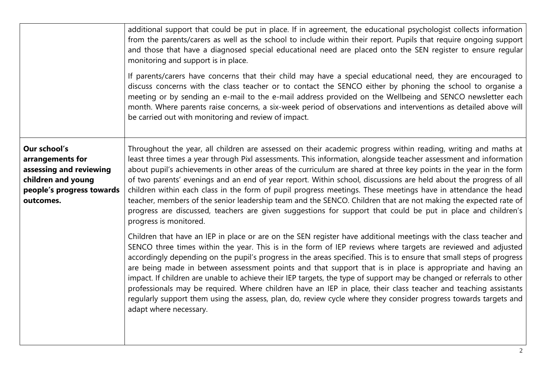|                                                                                                                             | additional support that could be put in place. If in agreement, the educational psychologist collects information<br>from the parents/carers as well as the school to include within their report. Pupils that require ongoing support<br>and those that have a diagnosed special educational need are placed onto the SEN register to ensure regular<br>monitoring and support is in place.<br>If parents/carers have concerns that their child may have a special educational need, they are encouraged to<br>discuss concerns with the class teacher or to contact the SENCO either by phoning the school to organise a<br>meeting or by sending an e-mail to the e-mail address provided on the Wellbeing and SENCO newsletter each<br>month. Where parents raise concerns, a six-week period of observations and interventions as detailed above will<br>be carried out with monitoring and review of impact. |
|-----------------------------------------------------------------------------------------------------------------------------|--------------------------------------------------------------------------------------------------------------------------------------------------------------------------------------------------------------------------------------------------------------------------------------------------------------------------------------------------------------------------------------------------------------------------------------------------------------------------------------------------------------------------------------------------------------------------------------------------------------------------------------------------------------------------------------------------------------------------------------------------------------------------------------------------------------------------------------------------------------------------------------------------------------------|
| Our school's<br>arrangements for<br>assessing and reviewing<br>children and young<br>people's progress towards<br>outcomes. | Throughout the year, all children are assessed on their academic progress within reading, writing and maths at<br>least three times a year through Pixl assessments. This information, alongside teacher assessment and information<br>about pupil's achievements in other areas of the curriculum are shared at three key points in the year in the form<br>of two parents' evenings and an end of year report. Within school, discussions are held about the progress of all<br>children within each class in the form of pupil progress meetings. These meetings have in attendance the head<br>teacher, members of the senior leadership team and the SENCO. Children that are not making the expected rate of<br>progress are discussed, teachers are given suggestions for support that could be put in place and children's<br>progress is monitored.                                                       |
|                                                                                                                             | Children that have an IEP in place or are on the SEN register have additional meetings with the class teacher and<br>SENCO three times within the year. This is in the form of IEP reviews where targets are reviewed and adjusted<br>accordingly depending on the pupil's progress in the areas specified. This is to ensure that small steps of progress<br>are being made in between assessment points and that support that is in place is appropriate and having an<br>impact. If children are unable to achieve their IEP targets, the type of support may be changed or referrals to other<br>professionals may be required. Where children have an IEP in place, their class teacher and teaching assistants<br>regularly support them using the assess, plan, do, review cycle where they consider progress towards targets and<br>adapt where necessary.                                                 |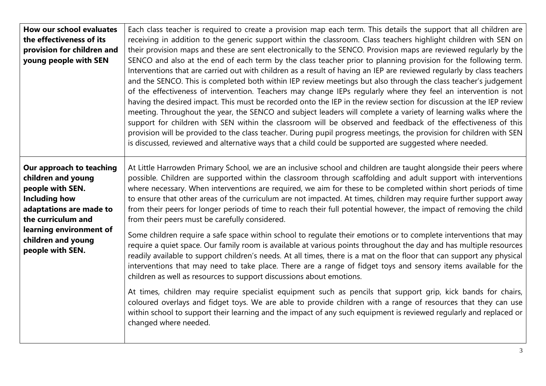| How our school evaluates<br>the effectiveness of its<br>provision for children and<br>young people with SEN                                 | Each class teacher is required to create a provision map each term. This details the support that all children are<br>receiving in addition to the generic support within the classroom. Class teachers highlight children with SEN on<br>their provision maps and these are sent electronically to the SENCO. Provision maps are reviewed regularly by the<br>SENCO and also at the end of each term by the class teacher prior to planning provision for the following term.<br>Interventions that are carried out with children as a result of having an IEP are reviewed regularly by class teachers<br>and the SENCO. This is completed both within IEP review meetings but also through the class teacher's judgement<br>of the effectiveness of intervention. Teachers may change IEPs regularly where they feel an intervention is not<br>having the desired impact. This must be recorded onto the IEP in the review section for discussion at the IEP review<br>meeting. Throughout the year, the SENCO and subject leaders will complete a variety of learning walks where the<br>support for children with SEN within the classroom will be observed and feedback of the effectiveness of this<br>provision will be provided to the class teacher. During pupil progress meetings, the provision for children with SEN<br>is discussed, reviewed and alternative ways that a child could be supported are suggested where needed. |
|---------------------------------------------------------------------------------------------------------------------------------------------|-----------------------------------------------------------------------------------------------------------------------------------------------------------------------------------------------------------------------------------------------------------------------------------------------------------------------------------------------------------------------------------------------------------------------------------------------------------------------------------------------------------------------------------------------------------------------------------------------------------------------------------------------------------------------------------------------------------------------------------------------------------------------------------------------------------------------------------------------------------------------------------------------------------------------------------------------------------------------------------------------------------------------------------------------------------------------------------------------------------------------------------------------------------------------------------------------------------------------------------------------------------------------------------------------------------------------------------------------------------------------------------------------------------------------------------------------|
| Our approach to teaching<br>children and young<br>people with SEN.<br><b>Including how</b><br>adaptations are made to<br>the curriculum and | At Little Harrowden Primary School, we are an inclusive school and children are taught alongside their peers where<br>possible. Children are supported within the classroom through scaffolding and adult support with interventions<br>where necessary. When interventions are required, we aim for these to be completed within short periods of time<br>to ensure that other areas of the curriculum are not impacted. At times, children may require further support away<br>from their peers for longer periods of time to reach their full potential however, the impact of removing the child<br>from their peers must be carefully considered.                                                                                                                                                                                                                                                                                                                                                                                                                                                                                                                                                                                                                                                                                                                                                                                        |
| learning environment of<br>children and young<br>people with SEN.                                                                           | Some children require a safe space within school to regulate their emotions or to complete interventions that may<br>require a quiet space. Our family room is available at various points throughout the day and has multiple resources<br>readily available to support children's needs. At all times, there is a mat on the floor that can support any physical<br>interventions that may need to take place. There are a range of fidget toys and sensory items available for the<br>children as well as resources to support discussions about emotions.                                                                                                                                                                                                                                                                                                                                                                                                                                                                                                                                                                                                                                                                                                                                                                                                                                                                                 |
|                                                                                                                                             | At times, children may require specialist equipment such as pencils that support grip, kick bands for chairs,<br>coloured overlays and fidget toys. We are able to provide children with a range of resources that they can use<br>within school to support their learning and the impact of any such equipment is reviewed regularly and replaced or<br>changed where needed.                                                                                                                                                                                                                                                                                                                                                                                                                                                                                                                                                                                                                                                                                                                                                                                                                                                                                                                                                                                                                                                                |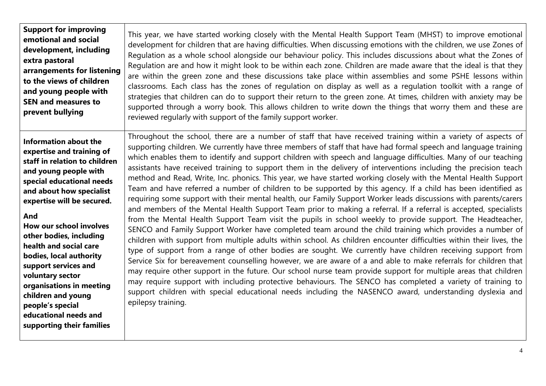| <b>Support for improving</b>                                                                                                                                                                                                                                                                                                                                                                                                                                                                         | This year, we have started working closely with the Mental Health Support Team (MHST) to improve emotional                                                                                                                                                                                                                                                                                                                                                                                                                                                                                                                                                                                                                                                                                                                                                                                                                                                                                                                                                                                                                                                                                                                                                                                                                                                                                                                                                                                                                                                                                                                                                                                                                                                                                                                                                                                               |
|------------------------------------------------------------------------------------------------------------------------------------------------------------------------------------------------------------------------------------------------------------------------------------------------------------------------------------------------------------------------------------------------------------------------------------------------------------------------------------------------------|----------------------------------------------------------------------------------------------------------------------------------------------------------------------------------------------------------------------------------------------------------------------------------------------------------------------------------------------------------------------------------------------------------------------------------------------------------------------------------------------------------------------------------------------------------------------------------------------------------------------------------------------------------------------------------------------------------------------------------------------------------------------------------------------------------------------------------------------------------------------------------------------------------------------------------------------------------------------------------------------------------------------------------------------------------------------------------------------------------------------------------------------------------------------------------------------------------------------------------------------------------------------------------------------------------------------------------------------------------------------------------------------------------------------------------------------------------------------------------------------------------------------------------------------------------------------------------------------------------------------------------------------------------------------------------------------------------------------------------------------------------------------------------------------------------------------------------------------------------------------------------------------------------|
| emotional and social                                                                                                                                                                                                                                                                                                                                                                                                                                                                                 | development for children that are having difficulties. When discussing emotions with the children, we use Zones of                                                                                                                                                                                                                                                                                                                                                                                                                                                                                                                                                                                                                                                                                                                                                                                                                                                                                                                                                                                                                                                                                                                                                                                                                                                                                                                                                                                                                                                                                                                                                                                                                                                                                                                                                                                       |
| development, including                                                                                                                                                                                                                                                                                                                                                                                                                                                                               | Regulation as a whole school alongside our behaviour policy. This includes discussions about what the Zones of                                                                                                                                                                                                                                                                                                                                                                                                                                                                                                                                                                                                                                                                                                                                                                                                                                                                                                                                                                                                                                                                                                                                                                                                                                                                                                                                                                                                                                                                                                                                                                                                                                                                                                                                                                                           |
| extra pastoral                                                                                                                                                                                                                                                                                                                                                                                                                                                                                       | Regulation are and how it might look to be within each zone. Children are made aware that the ideal is that they                                                                                                                                                                                                                                                                                                                                                                                                                                                                                                                                                                                                                                                                                                                                                                                                                                                                                                                                                                                                                                                                                                                                                                                                                                                                                                                                                                                                                                                                                                                                                                                                                                                                                                                                                                                         |
| arrangements for listening                                                                                                                                                                                                                                                                                                                                                                                                                                                                           | are within the green zone and these discussions take place within assemblies and some PSHE lessons within                                                                                                                                                                                                                                                                                                                                                                                                                                                                                                                                                                                                                                                                                                                                                                                                                                                                                                                                                                                                                                                                                                                                                                                                                                                                                                                                                                                                                                                                                                                                                                                                                                                                                                                                                                                                |
| to the views of children                                                                                                                                                                                                                                                                                                                                                                                                                                                                             | classrooms. Each class has the zones of regulation on display as well as a regulation toolkit with a range of                                                                                                                                                                                                                                                                                                                                                                                                                                                                                                                                                                                                                                                                                                                                                                                                                                                                                                                                                                                                                                                                                                                                                                                                                                                                                                                                                                                                                                                                                                                                                                                                                                                                                                                                                                                            |
| and young people with                                                                                                                                                                                                                                                                                                                                                                                                                                                                                | strategies that children can do to support their return to the green zone. At times, children with anxiety may be                                                                                                                                                                                                                                                                                                                                                                                                                                                                                                                                                                                                                                                                                                                                                                                                                                                                                                                                                                                                                                                                                                                                                                                                                                                                                                                                                                                                                                                                                                                                                                                                                                                                                                                                                                                        |
| <b>SEN and measures to</b>                                                                                                                                                                                                                                                                                                                                                                                                                                                                           | supported through a worry book. This allows children to write down the things that worry them and these are                                                                                                                                                                                                                                                                                                                                                                                                                                                                                                                                                                                                                                                                                                                                                                                                                                                                                                                                                                                                                                                                                                                                                                                                                                                                                                                                                                                                                                                                                                                                                                                                                                                                                                                                                                                              |
| prevent bullying                                                                                                                                                                                                                                                                                                                                                                                                                                                                                     | reviewed regularly with support of the family support worker.                                                                                                                                                                                                                                                                                                                                                                                                                                                                                                                                                                                                                                                                                                                                                                                                                                                                                                                                                                                                                                                                                                                                                                                                                                                                                                                                                                                                                                                                                                                                                                                                                                                                                                                                                                                                                                            |
| <b>Information about the</b><br>expertise and training of<br>staff in relation to children<br>and young people with<br>special educational needs<br>and about how specialist<br>expertise will be secured.<br>And<br>How our school involves<br>other bodies, including<br>health and social care<br>bodies, local authority<br>support services and<br>voluntary sector<br>organisations in meeting<br>children and young<br>people's special<br>educational needs and<br>supporting their families | Throughout the school, there are a number of staff that have received training within a variety of aspects of<br>supporting children. We currently have three members of staff that have had formal speech and language training<br>which enables them to identify and support children with speech and language difficulties. Many of our teaching<br>assistants have received training to support them in the delivery of interventions including the precision teach<br>method and Read, Write, Inc. phonics. This year, we have started working closely with the Mental Health Support<br>Team and have referred a number of children to be supported by this agency. If a child has been identified as<br>requiring some support with their mental health, our Family Support Worker leads discussions with parents/carers<br>and members of the Mental Health Support Team prior to making a referral. If a referral is accepted, specialists<br>from the Mental Health Support Team visit the pupils in school weekly to provide support. The Headteacher,<br>SENCO and Family Support Worker have completed team around the child training which provides a number of<br>children with support from multiple adults within school. As children encounter difficulties within their lives, the<br>type of support from a range of other bodies are sought. We currently have children receiving support from<br>Service Six for bereavement counselling however, we are aware of a and able to make referrals for children that<br>may require other support in the future. Our school nurse team provide support for multiple areas that children<br>may require support with including protective behaviours. The SENCO has completed a variety of training to<br>support children with special educational needs including the NASENCO award, understanding dyslexia and<br>epilepsy training. |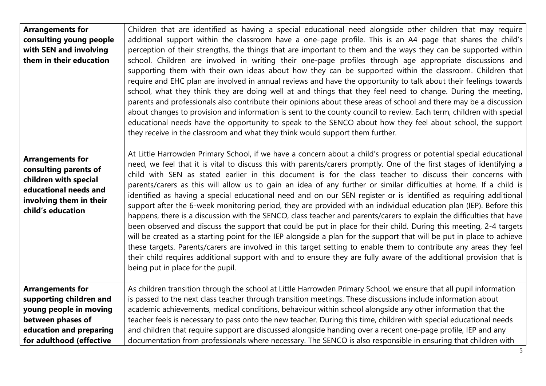| <b>Arrangements for</b><br>consulting young people<br>with SEN and involving<br>them in their education                                            | Children that are identified as having a special educational need alongside other children that may require<br>additional support within the classroom have a one-page profile. This is an A4 page that shares the child's<br>perception of their strengths, the things that are important to them and the ways they can be supported within<br>school. Children are involved in writing their one-page profiles through age appropriate discussions and<br>supporting them with their own ideas about how they can be supported within the classroom. Children that<br>require and EHC plan are involved in annual reviews and have the opportunity to talk about their feelings towards<br>school, what they think they are doing well at and things that they feel need to change. During the meeting,<br>parents and professionals also contribute their opinions about these areas of school and there may be a discussion<br>about changes to provision and information is sent to the county council to review. Each term, children with special<br>educational needs have the opportunity to speak to the SENCO about how they feel about school, the support<br>they receive in the classroom and what they think would support them further.                                                                                                                             |
|----------------------------------------------------------------------------------------------------------------------------------------------------|------------------------------------------------------------------------------------------------------------------------------------------------------------------------------------------------------------------------------------------------------------------------------------------------------------------------------------------------------------------------------------------------------------------------------------------------------------------------------------------------------------------------------------------------------------------------------------------------------------------------------------------------------------------------------------------------------------------------------------------------------------------------------------------------------------------------------------------------------------------------------------------------------------------------------------------------------------------------------------------------------------------------------------------------------------------------------------------------------------------------------------------------------------------------------------------------------------------------------------------------------------------------------------------------------------------------------------------------------------------------------------|
| <b>Arrangements for</b><br>consulting parents of<br>children with special<br>educational needs and<br>involving them in their<br>child's education | At Little Harrowden Primary School, if we have a concern about a child's progress or potential special educational<br>need, we feel that it is vital to discuss this with parents/carers promptly. One of the first stages of identifying a<br>child with SEN as stated earlier in this document is for the class teacher to discuss their concerns with<br>parents/carers as this will allow us to gain an idea of any further or similar difficulties at home. If a child is<br>identified as having a special educational need and on our SEN register or is identified as requiring additional<br>support after the 6-week monitoring period, they are provided with an individual education plan (IEP). Before this<br>happens, there is a discussion with the SENCO, class teacher and parents/carers to explain the difficulties that have<br>been observed and discuss the support that could be put in place for their child. During this meeting, 2-4 targets<br>will be created as a starting point for the IEP alongside a plan for the support that will be put in place to achieve<br>these targets. Parents/carers are involved in this target setting to enable them to contribute any areas they feel<br>their child requires additional support with and to ensure they are fully aware of the additional provision that is<br>being put in place for the pupil. |
| <b>Arrangements for</b>                                                                                                                            | As children transition through the school at Little Harrowden Primary School, we ensure that all pupil information                                                                                                                                                                                                                                                                                                                                                                                                                                                                                                                                                                                                                                                                                                                                                                                                                                                                                                                                                                                                                                                                                                                                                                                                                                                                 |
| supporting children and                                                                                                                            | is passed to the next class teacher through transition meetings. These discussions include information about                                                                                                                                                                                                                                                                                                                                                                                                                                                                                                                                                                                                                                                                                                                                                                                                                                                                                                                                                                                                                                                                                                                                                                                                                                                                       |
| young people in moving                                                                                                                             | academic achievements, medical conditions, behaviour within school alongside any other information that the                                                                                                                                                                                                                                                                                                                                                                                                                                                                                                                                                                                                                                                                                                                                                                                                                                                                                                                                                                                                                                                                                                                                                                                                                                                                        |
| between phases of                                                                                                                                  | teacher feels is necessary to pass onto the new teacher. During this time, children with special educational needs                                                                                                                                                                                                                                                                                                                                                                                                                                                                                                                                                                                                                                                                                                                                                                                                                                                                                                                                                                                                                                                                                                                                                                                                                                                                 |
| education and preparing                                                                                                                            | and children that require support are discussed alongside handing over a recent one-page profile, IEP and any                                                                                                                                                                                                                                                                                                                                                                                                                                                                                                                                                                                                                                                                                                                                                                                                                                                                                                                                                                                                                                                                                                                                                                                                                                                                      |
| for adulthood (effective                                                                                                                           | documentation from professionals where necessary. The SENCO is also responsible in ensuring that children with                                                                                                                                                                                                                                                                                                                                                                                                                                                                                                                                                                                                                                                                                                                                                                                                                                                                                                                                                                                                                                                                                                                                                                                                                                                                     |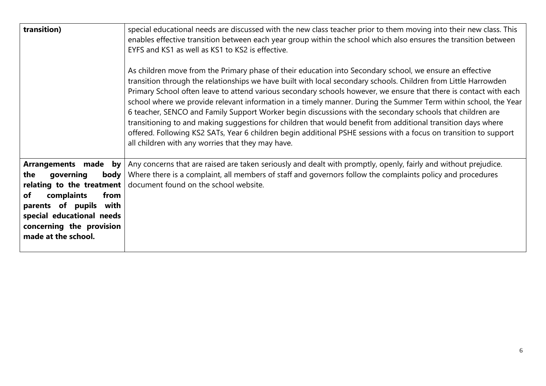| transition)                                                                                                                                                                                                                      | special educational needs are discussed with the new class teacher prior to them moving into their new class. This<br>enables effective transition between each year group within the school which also ensures the transition between<br>EYFS and KS1 as well as KS1 to KS2 is effective.<br>As children move from the Primary phase of their education into Secondary school, we ensure an effective<br>transition through the relationships we have built with local secondary schools. Children from Little Harrowden<br>Primary School often leave to attend various secondary schools however, we ensure that there is contact with each<br>school where we provide relevant information in a timely manner. During the Summer Term within school, the Year<br>6 teacher, SENCO and Family Support Worker begin discussions with the secondary schools that children are<br>transitioning to and making suggestions for children that would benefit from additional transition days where<br>offered. Following KS2 SATs, Year 6 children begin additional PSHE sessions with a focus on transition to support<br>all children with any worries that they may have. |
|----------------------------------------------------------------------------------------------------------------------------------------------------------------------------------------------------------------------------------|---------------------------------------------------------------------------------------------------------------------------------------------------------------------------------------------------------------------------------------------------------------------------------------------------------------------------------------------------------------------------------------------------------------------------------------------------------------------------------------------------------------------------------------------------------------------------------------------------------------------------------------------------------------------------------------------------------------------------------------------------------------------------------------------------------------------------------------------------------------------------------------------------------------------------------------------------------------------------------------------------------------------------------------------------------------------------------------------------------------------------------------------------------------------------|
| made by<br><b>Arrangements</b><br>body<br>the<br>governing<br>relating to the treatment<br>complaints<br>from<br>of<br>parents of pupils<br>with<br>special educational needs<br>concerning the provision<br>made at the school. | Any concerns that are raised are taken seriously and dealt with promptly, openly, fairly and without prejudice.<br>Where there is a complaint, all members of staff and governors follow the complaints policy and procedures<br>document found on the school website.                                                                                                                                                                                                                                                                                                                                                                                                                                                                                                                                                                                                                                                                                                                                                                                                                                                                                                    |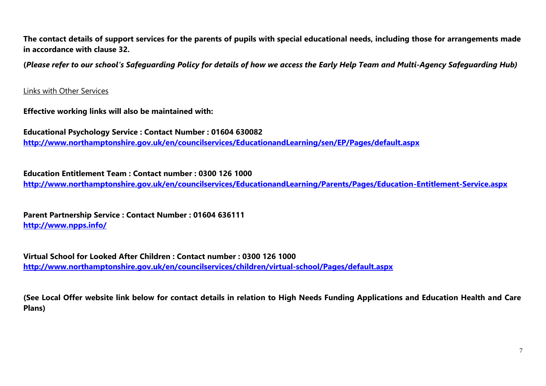**The contact details of support services for the parents of pupils with special educational needs, including those for arrangements made in accordance with clause 32.** 

**(***Please refer to our school's Safeguarding Policy for details of how we access the Early Help Team and Multi-Agency Safeguarding Hub)*

Links with Other Services

**Effective working links will also be maintained with:**

**Educational Psychology Service : Contact Number : 01604 630082 <http://www.northamptonshire.gov.uk/en/councilservices/EducationandLearning/sen/EP/Pages/default.aspx>**

**Education Entitlement Team : Contact number : 0300 126 1000**

**<http://www.northamptonshire.gov.uk/en/councilservices/EducationandLearning/Parents/Pages/Education-Entitlement-Service.aspx>**

**Parent Partnership Service : Contact Number : 01604 636111 <http://www.npps.info/>**

**Virtual School for Looked After Children : Contact number : 0300 126 1000 <http://www.northamptonshire.gov.uk/en/councilservices/children/virtual-school/Pages/default.aspx>**

**(See Local Offer website link below for contact details in relation to High Needs Funding Applications and Education Health and Care Plans)**